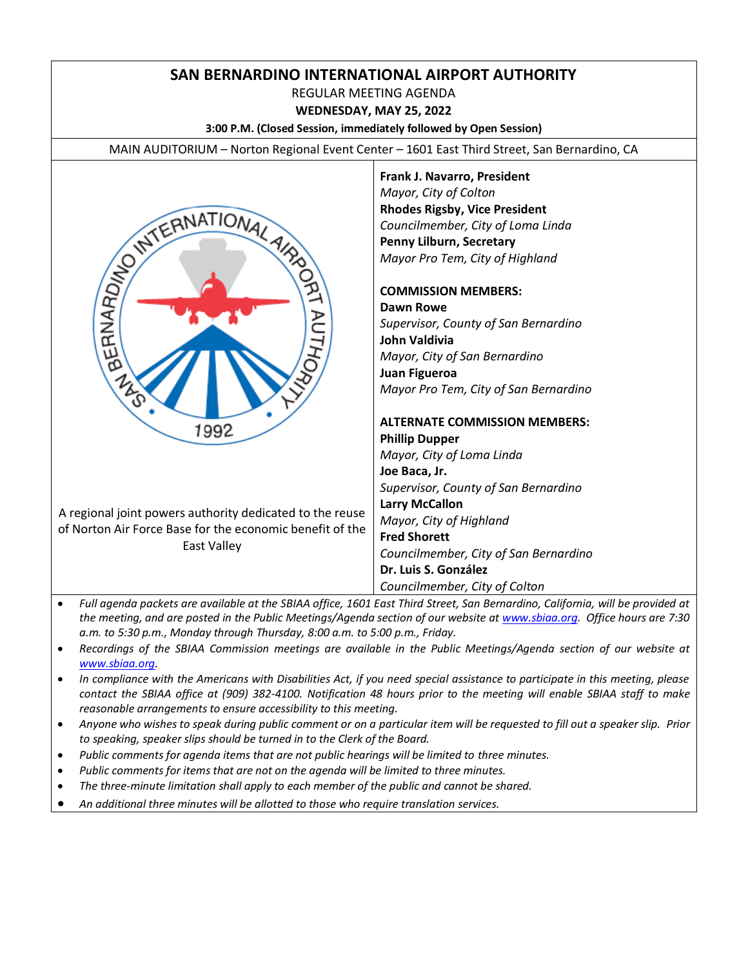# **SAN BERNARDINO INTERNATIONAL AIRPORT AUTHORITY**

REGULAR MEETING AGENDA

**WEDNESDAY, MAY 25, 2022**

**3:00 P.M. (Closed Session, immediately followed by Open Session)**

MAIN AUDITORIUM – Norton Regional Event Center – 1601 East Third Street, San Bernardino, CA



**Frank J. Navarro, President** *Mayor, City of Colton* **Rhodes Rigsby, Vice President** *Councilmember, City of Loma Linda* **Penny Lilburn, Secretary** *Mayor Pro Tem, City of Highland*

#### **COMMISSION MEMBERS:**

**Dawn Rowe** *Supervisor, County of San Bernardino* **John Valdivia** *Mayor, City of San Bernardino* **Juan Figueroa** *Mayor Pro Tem, City of San Bernardino*

**ALTERNATE COMMISSION MEMBERS: Phillip Dupper**

*Mayor, City of Loma Linda* **Joe Baca, Jr.** *Supervisor, County of San Bernardino* **Larry McCallon** *Mayor, City of Highland* **Fred Shorett** *Councilmember, City of San Bernardino* **Dr. Luis S. González**  *Councilmember, City of Colton*

- *Full agenda packets are available at the SBIAA office, 1601 East Third Street, San Bernardino, California, will be provided at the meeting, and are posted in the Public Meetings/Agenda section of our website at [www.sbiaa.org.](http://www.sbiaa.org/) Office hours are 7:30 a.m. to 5:30 p.m., Monday through Thursday, 8:00 a.m. to 5:00 p.m., Friday.*
- *Recordings of the SBIAA Commission meetings are available in the Public Meetings/Agenda section of our website at [www.sbiaa.org.](http://www.sbiaa.org/)*
- *In compliance with the Americans with Disabilities Act, if you need special assistance to participate in this meeting, please contact the SBIAA office at (909) 382-4100. Notification 48 hours prior to the meeting will enable SBIAA staff to make reasonable arrangements to ensure accessibility to this meeting.*
- *Anyone who wishes to speak during public comment or on a particular item will be requested to fill out a speaker slip. Prior to speaking, speaker slips should be turned in to the Clerk of the Board.*
- *Public comments for agenda items that are not public hearings will be limited to three minutes.*
- *Public comments for items that are not on the agenda will be limited to three minutes.*
- *The three-minute limitation shall apply to each member of the public and cannot be shared.*
- *An additional three minutes will be allotted to those who require translation services.*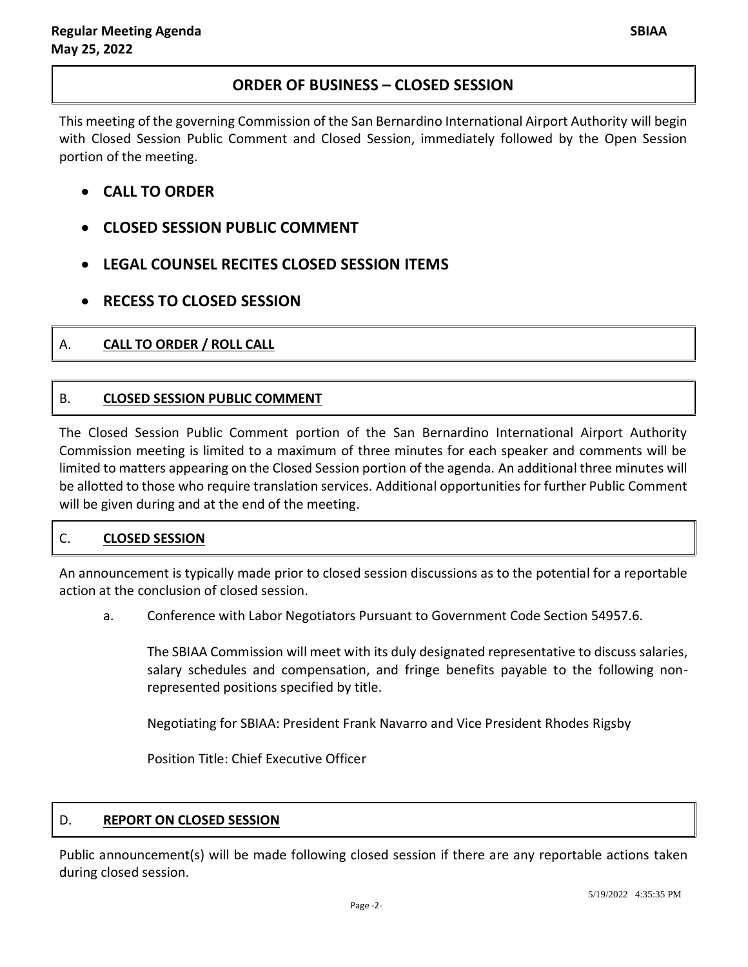# **ORDER OF BUSINESS – CLOSED SESSION**

This meeting of the governing Commission of the San Bernardino International Airport Authority will begin with Closed Session Public Comment and Closed Session, immediately followed by the Open Session portion of the meeting.

- **CALL TO ORDER**
- **CLOSED SESSION PUBLIC COMMENT**
- **LEGAL COUNSEL RECITES CLOSED SESSION ITEMS**
- **RECESS TO CLOSED SESSION**
- A. **CALL TO ORDER / ROLL CALL**

# B. **CLOSED SESSION PUBLIC COMMENT**

The Closed Session Public Comment portion of the San Bernardino International Airport Authority Commission meeting is limited to a maximum of three minutes for each speaker and comments will be limited to matters appearing on the Closed Session portion of the agenda. An additional three minutes will be allotted to those who require translation services. Additional opportunities for further Public Comment will be given during and at the end of the meeting.

# C. **CLOSED SESSION**

An announcement is typically made prior to closed session discussions as to the potential for a reportable action at the conclusion of closed session.

a. Conference with Labor Negotiators Pursuant to Government Code Section 54957.6.

The SBIAA Commission will meet with its duly designated representative to discuss salaries, salary schedules and compensation, and fringe benefits payable to the following nonrepresented positions specified by title.

Negotiating for SBIAA: President Frank Navarro and Vice President Rhodes Rigsby

Position Title: Chief Executive Officer

### D. **REPORT ON CLOSED SESSION**

Public announcement(s) will be made following closed session if there are any reportable actions taken during closed session.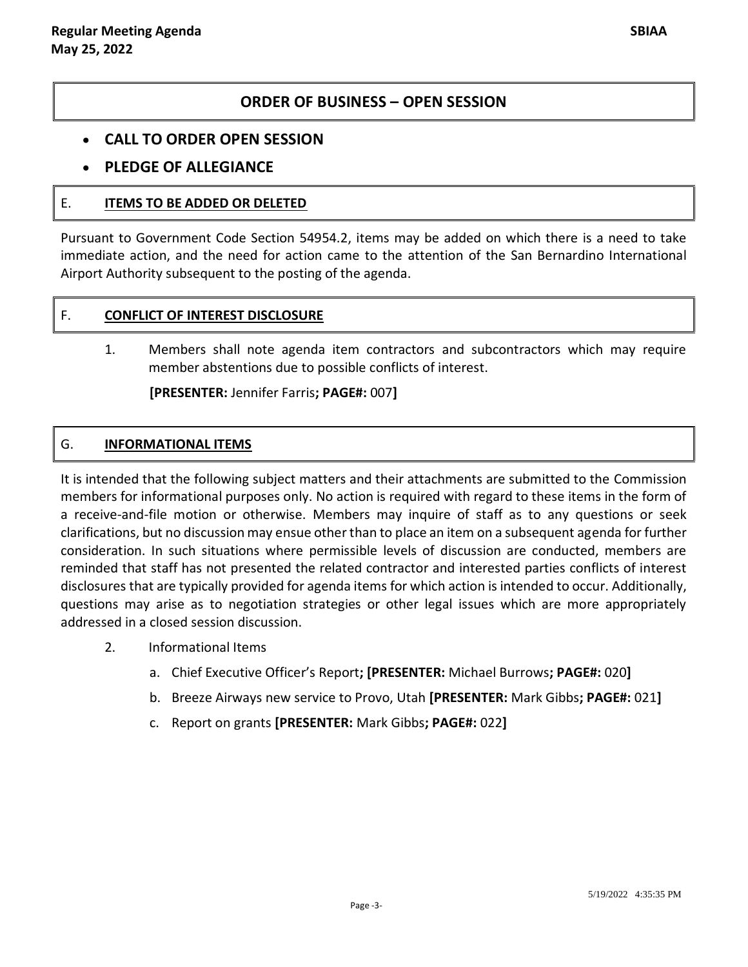## **ORDER OF BUSINESS – OPEN SESSION**

### **CALL TO ORDER OPEN SESSION**

## **PLEDGE OF ALLEGIANCE**

### E. **ITEMS TO BE ADDED OR DELETED**

Pursuant to Government Code Section 54954.2, items may be added on which there is a need to take immediate action, and the need for action came to the attention of the San Bernardino International Airport Authority subsequent to the posting of the agenda.

#### F. **CONFLICT OF INTEREST DISCLOSURE**

1. Members shall note agenda item contractors and subcontractors which may require member abstentions due to possible conflicts of interest.

**[PRESENTER:** Jennifer Farris**; PAGE#:** 007**]**

### G. **INFORMATIONAL ITEMS**

It is intended that the following subject matters and their attachments are submitted to the Commission members for informational purposes only. No action is required with regard to these items in the form of a receive-and-file motion or otherwise. Members may inquire of staff as to any questions or seek clarifications, but no discussion may ensue other than to place an item on a subsequent agenda for further consideration. In such situations where permissible levels of discussion are conducted, members are reminded that staff has not presented the related contractor and interested parties conflicts of interest disclosures that are typically provided for agenda items for which action is intended to occur. Additionally, questions may arise as to negotiation strategies or other legal issues which are more appropriately addressed in a closed session discussion.

- 2. Informational Items
	- a. Chief Executive Officer's Report**; [PRESENTER:** Michael Burrows**; PAGE#:** 020**]**
	- b. Breeze Airways new service to Provo, Utah **[PRESENTER:** Mark Gibbs**; PAGE#:** 021**]**
	- c. Report on grants **[PRESENTER:** Mark Gibbs**; PAGE#:** 022**]**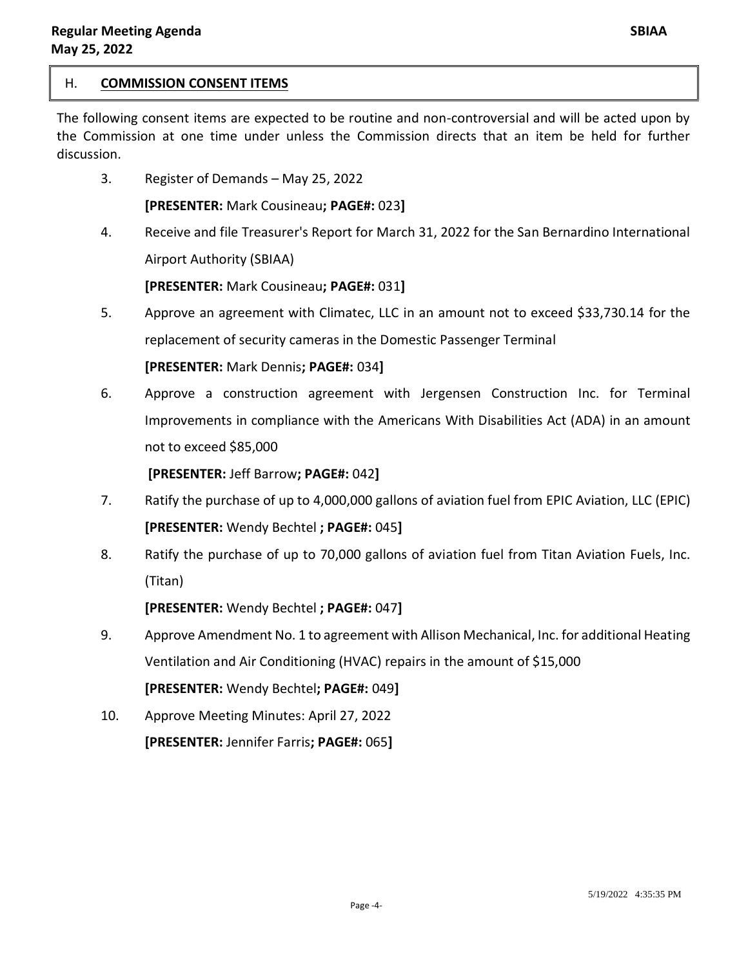### H. **COMMISSION CONSENT ITEMS**

The following consent items are expected to be routine and non-controversial and will be acted upon by the Commission at one time under unless the Commission directs that an item be held for further discussion.

3. Register of Demands – May 25, 2022

**[PRESENTER:** Mark Cousineau**; PAGE#:** 023**]**

4. Receive and file Treasurer's Report for March 31, 2022 for the San Bernardino International Airport Authority (SBIAA)

**[PRESENTER:** Mark Cousineau**; PAGE#:** 031**]**

5. Approve an agreement with Climatec, LLC in an amount not to exceed \$33,730.14 for the replacement of security cameras in the Domestic Passenger Terminal

**[PRESENTER:** Mark Dennis**; PAGE#:** 034**]**

6. Approve a construction agreement with Jergensen Construction Inc. for Terminal Improvements in compliance with the Americans With Disabilities Act (ADA) in an amount not to exceed \$85,000

**[PRESENTER:** Jeff Barrow**; PAGE#:** 042**]**

- 7. Ratify the purchase of up to 4,000,000 gallons of aviation fuel from EPIC Aviation, LLC (EPIC) **[PRESENTER:** Wendy Bechtel **; PAGE#:** 045**]**
- 8. Ratify the purchase of up to 70,000 gallons of aviation fuel from Titan Aviation Fuels, Inc. (Titan)

**[PRESENTER:** Wendy Bechtel **; PAGE#:** 047**]**

- 9. Approve Amendment No. 1 to agreement with Allison Mechanical, Inc. for additional Heating Ventilation and Air Conditioning (HVAC) repairs in the amount of \$15,000 **[PRESENTER:** Wendy Bechtel**; PAGE#:** 049**]**
- 10. Approve Meeting Minutes: April 27, 2022 **[PRESENTER:** Jennifer Farris**; PAGE#:** 065**]**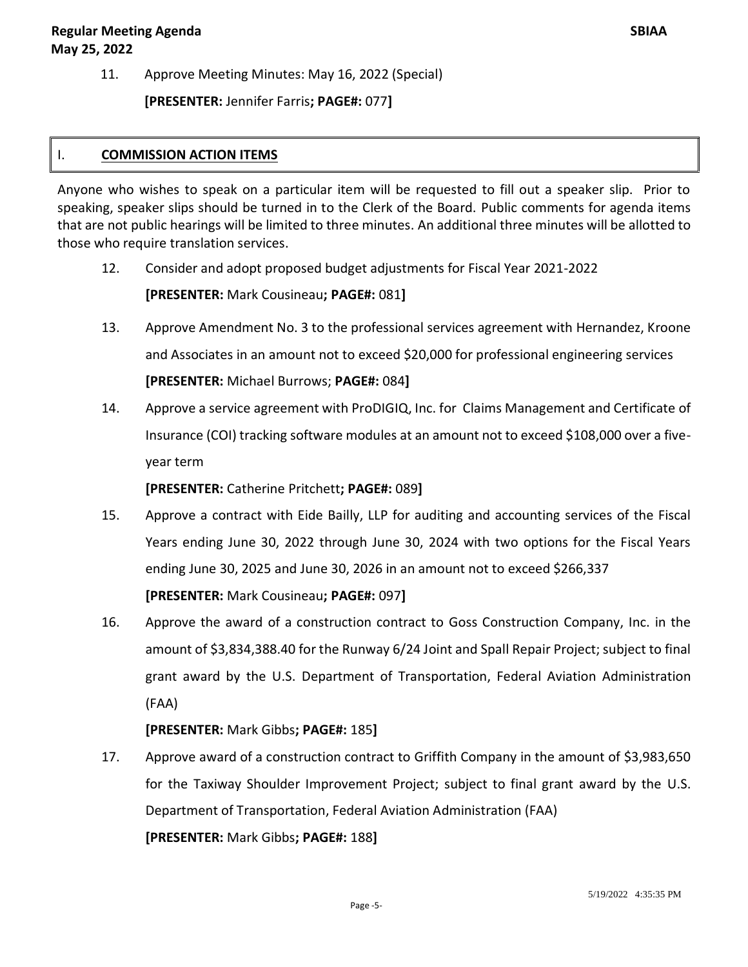11. Approve Meeting Minutes: May 16, 2022 (Special)

**[PRESENTER:** Jennifer Farris**; PAGE#:** 077**]**

### I. **COMMISSION ACTION ITEMS**

Anyone who wishes to speak on a particular item will be requested to fill out a speaker slip. Prior to speaking, speaker slips should be turned in to the Clerk of the Board. Public comments for agenda items that are not public hearings will be limited to three minutes. An additional three minutes will be allotted to those who require translation services.

- 12. Consider and adopt proposed budget adjustments for Fiscal Year 2021-2022 **[PRESENTER:** Mark Cousineau**; PAGE#:** 081**]**
- 13. Approve Amendment No. 3 to the professional services agreement with Hernandez, Kroone and Associates in an amount not to exceed \$20,000 for professional engineering services **[PRESENTER:** Michael Burrows; **PAGE#:** 084**]**
- 14. Approve a service agreement with ProDIGIQ, Inc. for Claims Management and Certificate of Insurance (COI) tracking software modules at an amount not to exceed \$108,000 over a fiveyear term

**[PRESENTER:** Catherine Pritchett**; PAGE#:** 089**]**

- 15. Approve a contract with Eide Bailly, LLP for auditing and accounting services of the Fiscal Years ending June 30, 2022 through June 30, 2024 with two options for the Fiscal Years ending June 30, 2025 and June 30, 2026 in an amount not to exceed \$266,337 **[PRESENTER:** Mark Cousineau**; PAGE#:** 097**]**
- 16. Approve the award of a construction contract to Goss Construction Company, Inc. in the amount of \$3,834,388.40 for the Runway 6/24 Joint and Spall Repair Project; subject to final grant award by the U.S. Department of Transportation, Federal Aviation Administration (FAA)

**[PRESENTER:** Mark Gibbs**; PAGE#:** 185**]**

17. Approve award of a construction contract to Griffith Company in the amount of \$3,983,650 for the Taxiway Shoulder Improvement Project; subject to final grant award by the U.S. Department of Transportation, Federal Aviation Administration (FAA)

**[PRESENTER:** Mark Gibbs**; PAGE#:** 188**]**